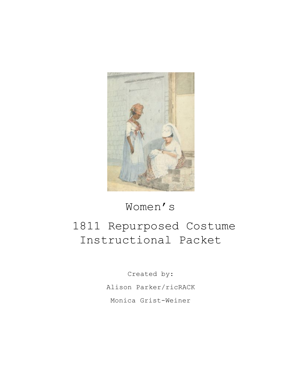

## Women's

# 1811 Repurposed Costume Instructional Packet

Created by: Alison Parker/ricRACK Monica Grist-Weiner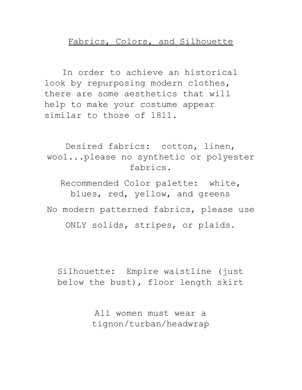#### Fabrics, Colors, and Silhouette

In order to achieve an historical look by repurposing modern clothes, there are some aesthetics that will help to make your costume appear similar to those of 1811.

Desired fabrics: cotton, linen, wool...please no synthetic or polyester fabrics.

Recommended Color palette: white, blues, red, yellow, and greens No modern patterned fabrics, please use ONLY solids, stripes, or plaids.

Silhouette: Empire waistline (just below the bust), floor length skirt

> All women must wear a tignon/turban/headwrap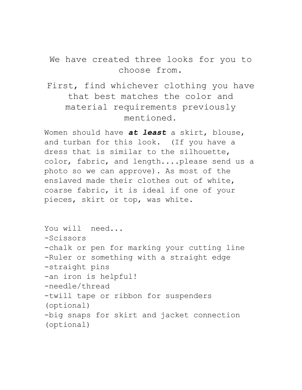We have created three looks for you to choose from.

First, find whichever clothing you have that best matches the color and material requirements previously mentioned.

Women should have *at least* a skirt, blouse, and turban for this look. (If you have a dress that is similar to the silhouette, color, fabric, and length....please send us a photo so we can approve). As most of the enslaved made their clothes out of white, coarse fabric, it is ideal if one of your pieces, skirt or top, was white.

You will need... -Scissors -chalk or pen for marking your cutting line -Ruler or something with a straight edge -straight pins -an iron is helpful! -needle/thread -twill tape or ribbon for suspenders (optional) -big snaps for skirt and jacket connection (optional)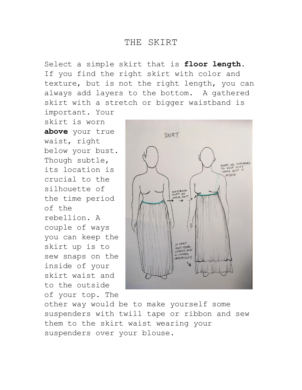#### THE SKIRT

Select a simple skirt that is **floor length**. If you find the right skirt with color and texture, but is not the right length, you can always add layers to the bottom. A gathered skirt with a stretch or bigger waistband is important. Your

skirt is worn **above** your true waist, right below your bust. Though subtle, its location is crucial to the silhouette of the time period of the rebellion. A couple of ways you can keep the skirt up is to sew snaps on the inside of your skirt waist and to the outside of your top. The



other way would be to make yourself some suspenders with twill tape or ribbon and sew them to the skirt waist wearing your suspenders over your blouse.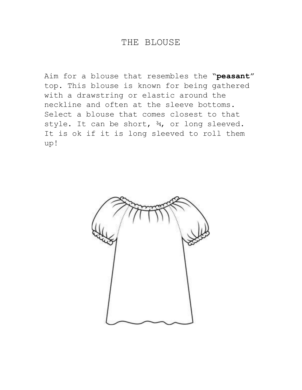#### THE BLOUSE

Aim for a blouse that resembles the "**peasant**" top. This blouse is known for being gathered with a drawstring or elastic around the neckline and often at the sleeve bottoms. Select a blouse that comes closest to that style. It can be short,  $\frac{3}{4}$ , or long sleeved. It is ok if it is long sleeved to roll them up!

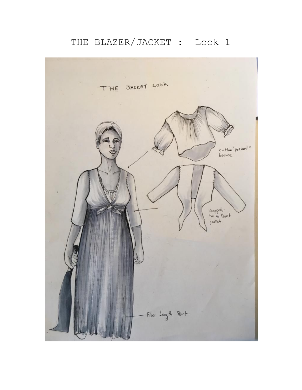### THE BLAZER/JACKET : Look 1

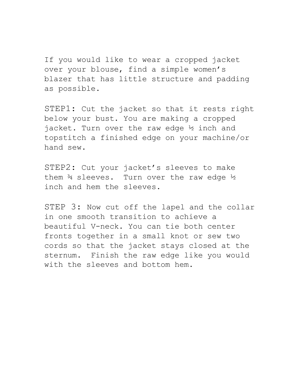If you would like to wear a cropped jacket over your blouse, find a simple women's blazer that has little structure and padding as possible.

STEP1: Cut the jacket so that it rests right below your bust. You are making a cropped jacket. Turn over the raw edge ½ inch and topstitch a finished edge on your machine/or hand sew.

STEP2: Cut your jacket's sleeves to make them  $\frac{3}{4}$  sleeves. Turn over the raw edge  $\frac{1}{2}$ inch and hem the sleeves.

STEP 3: Now cut off the lapel and the collar in one smooth transition to achieve a beautiful V-neck. You can tie both center fronts together in a small knot or sew two cords so that the jacket stays closed at the sternum. Finish the raw edge like you would with the sleeves and bottom hem.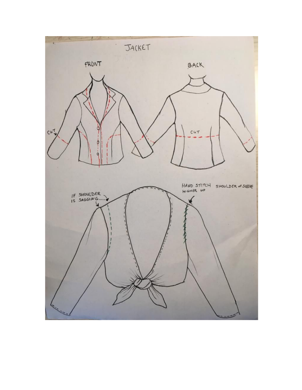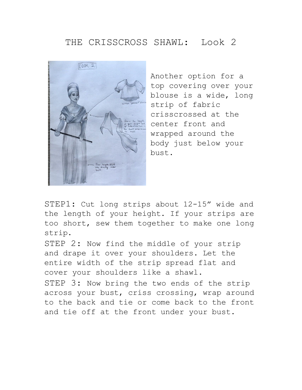### THE CRISSCROSS SHAWL: Look 2



Another option for a top covering over your blouse is a wide, long strip of fabric crisscrossed at the center front and wrapped around the body just below your bust.

STEP1: Cut long strips about 12-15" wide and the length of your height. If your strips are too short, sew them together to make one long strip.

STEP 2: Now find the middle of your strip and drape it over your shoulders. Let the entire width of the strip spread flat and cover your shoulders like a shawl.

STEP 3: Now bring the two ends of the strip across your bust, criss crossing, wrap around to the back and tie or come back to the front and tie off at the front under your bust.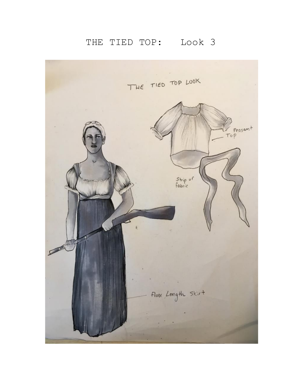## THE TIED TOP: Look 3

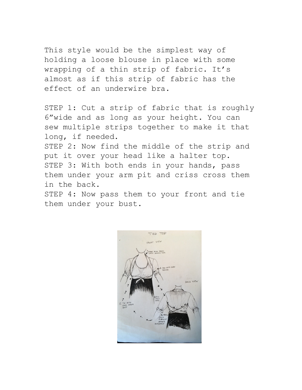This style would be the simplest way of holding a loose blouse in place with some wrapping of a thin strip of fabric. It's almost as if this strip of fabric has the effect of an underwire bra.

STEP 1: Cut a strip of fabric that is roughly 6"wide and as long as your height. You can sew multiple strips together to make it that long, if needed.

STEP 2: Now find the middle of the strip and put it over your head like a halter top. STEP 3: With both ends in your hands, pass them under your arm pit and criss cross them in the back.

STEP 4: Now pass them to your front and tie them under your bust.